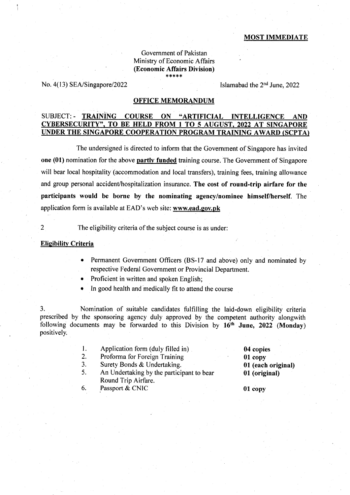### MOST IMMEDIATE

### Government of Pakistan Ministry of Economic Affairs (Economic Affairs Division)  $****$

No. 4(13) SEA/Singapore/2022 Islamabad the 2<sup>nd</sup> June, 2022

## OFFICE MEMORANDUM

# SUBJECT:. TRAINING COURSE ON "ARTIFICIAL INTELLIGENCE AND CYBERSECURTTY". TO BE HELD FROM I TO 5 AUGUST. 2022 AT SINGAPORE UNDER THE SINGAPORE COOPERATION PROGRAM TRAINING AWARD (SCPTA)

The undersigned is directed to inform that the Government of Singapore has invited one (01) nomination for the above partly funded training course. The Government of Singapore will bear local hospitality (accommodation and local transfers), training fees, training allowance and group personal accident/hospitalization insurance. The cost of round-trip airfare for the participants would be borne by the nominating agency'nominee himself/herself. The application form is available at EAD's web site: www.ead.gov.pk

2 The eligibility criteria of the subject course is as under:

## Eligibilitv Criteria

- Permanent Government Officers (BS-17 and above) only and nominated by respective Federal Government or Provincial Department.
- Proficient in written and spoken English;
- In good health and medically fit to attend the course

3. Nomination of suitable candidates fulfilling the laid-down eligibility criteria prescribed by the sponsoring agency duly approved by ihe competent authority alongwith following documents may be forwarded to this Division by  $16<sup>th</sup>$  June, 2022 (Monday) positively.

- l. Application form (duly filled in)
- $2.$ Proforma for Foreign Training
- J. Surety Bonds & Undertaking.
- 5. An Undertaking by the participant to bear Round Trip Airfare.
- 6. Passport & CNIC
- 04 copies
- 01 copy
- 0I (each original)
- 0l (original)

01 copy